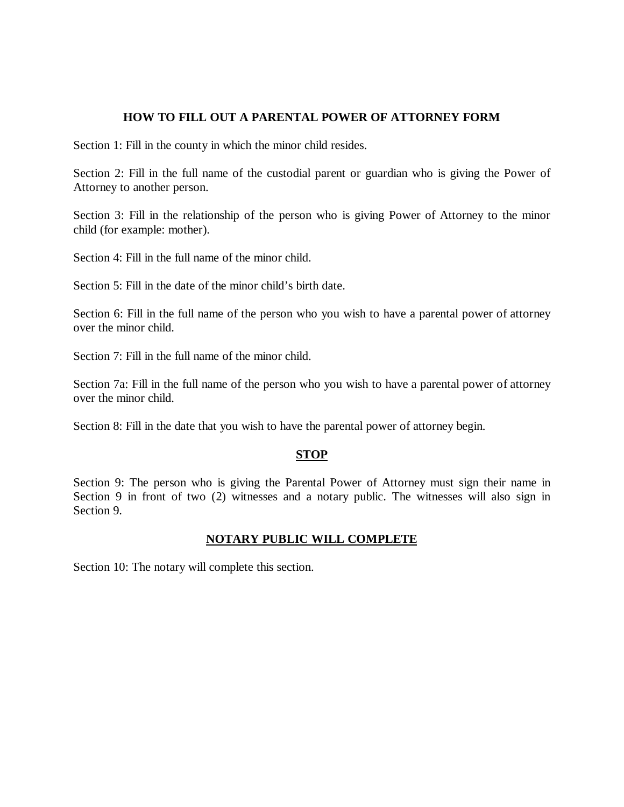### **HOW TO FILL OUT A PARENTAL POWER OF ATTORNEY FORM**

Section 1: Fill in the county in which the minor child resides.

Section 2: Fill in the full name of the custodial parent or guardian who is giving the Power of Attorney to another person.

Section 3: Fill in the relationship of the person who is giving Power of Attorney to the minor child (for example: mother).

Section 4: Fill in the full name of the minor child.

Section 5: Fill in the date of the minor child's birth date.

Section 6: Fill in the full name of the person who you wish to have a parental power of attorney over the minor child.

Section 7: Fill in the full name of the minor child.

Section 7a: Fill in the full name of the person who you wish to have a parental power of attorney over the minor child.

Section 8: Fill in the date that you wish to have the parental power of attorney begin.

#### **STOP**

Section 9: The person who is giving the Parental Power of Attorney must sign their name in Section 9 in front of two (2) witnesses and a notary public. The witnesses will also sign in Section 9.

#### **NOTARY PUBLIC WILL COMPLETE**

Section 10: The notary will complete this section.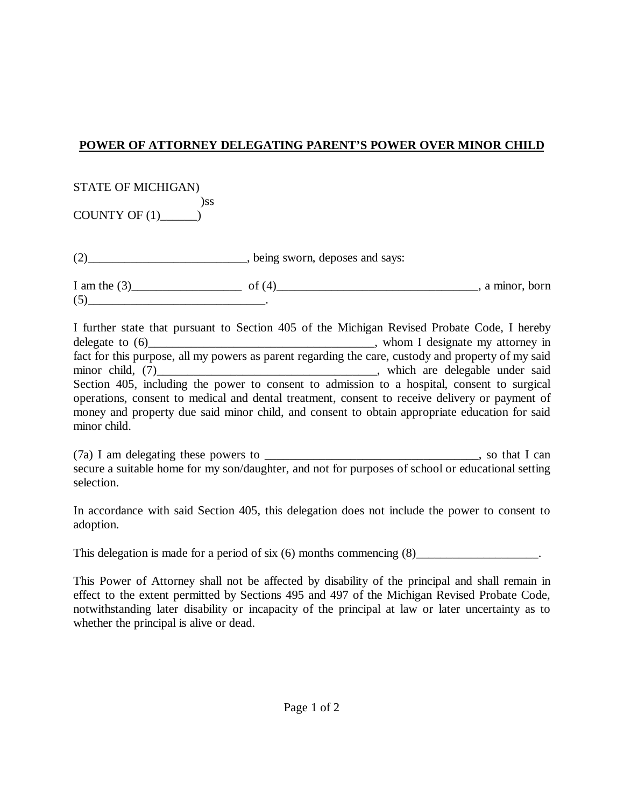# **POWER OF ATTORNEY DELEGATING PARENT'S POWER OVER MINOR CHILD**

## STATE OF MICHIGAN)

 )ss COUNTY OF (1)\_\_\_\_\_\_)

(2) being sworn, deposes and says:

I am the  $(3)$   $\qquad \qquad$  of  $(4)$  $(5)$ 

I further state that pursuant to Section 405 of the Michigan Revised Probate Code, I hereby delegate to (6) example to the set of the set of the set of the set of the set of the set of the set of the set of the set of the set of the set of the set of the set of the set of the set of the set of the set of the set fact for this purpose, all my powers as parent regarding the care, custody and property of my said minor child, (7)\_\_\_\_\_\_\_\_\_\_\_\_\_\_\_\_\_\_\_\_\_\_\_\_\_\_\_\_\_\_\_\_\_\_\_\_, which are delegable under said Section 405, including the power to consent to admission to a hospital, consent to surgical operations, consent to medical and dental treatment, consent to receive delivery or payment of money and property due said minor child, and consent to obtain appropriate education for said minor child.

(7a) I am delegating these powers to \_\_\_\_\_\_\_\_\_\_\_\_\_\_\_\_\_\_\_\_\_\_\_\_\_\_\_\_\_\_\_\_\_\_\_, so that I can secure a suitable home for my son/daughter, and not for purposes of school or educational setting selection.

In accordance with said Section 405, this delegation does not include the power to consent to adoption.

This delegation is made for a period of six  $(6)$  months commencing  $(8)$ \_\_\_\_\_\_\_\_\_\_\_\_\_\_\_\_\_\_\_\_.

This Power of Attorney shall not be affected by disability of the principal and shall remain in effect to the extent permitted by Sections 495 and 497 of the Michigan Revised Probate Code, notwithstanding later disability or incapacity of the principal at law or later uncertainty as to whether the principal is alive or dead.